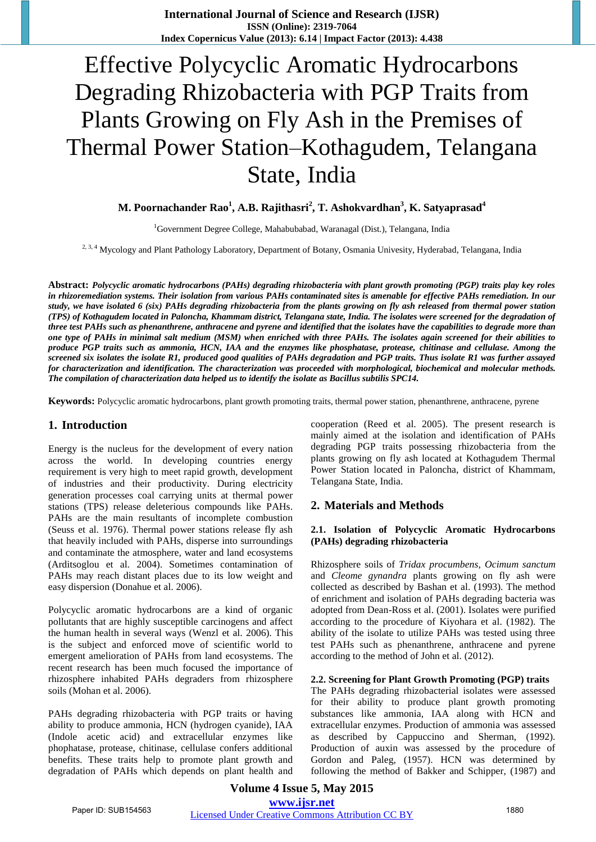**International Journal of Science and Research (IJSR) ISSN (Online): 2319-7064 Index Copernicus Value (2013): 6.14 | Impact Factor (2013): 4.438** 

# Effective Polycyclic Aromatic Hydrocarbons Degrading Rhizobacteria with PGP Traits from Plants Growing on Fly Ash in the Premises of Thermal Power Station–Kothagudem, Telangana State, India

# **M. Poornachander Rao<sup>1</sup> , A.B. Rajithasri<sup>2</sup> , T. Ashokvardhan<sup>3</sup> , K. Satyaprasad<sup>4</sup>**

<sup>1</sup>Government Degree College, Mahabubabad, Waranagal (Dist.), Telangana, India

<sup>2, 3, 4</sup> Mycology and Plant Pathology Laboratory, Department of Botany, Osmania Univesity, Hyderabad, Telangana, India

**Abstract:** *Polycyclic aromatic hydrocarbons (PAHs) degrading rhizobacteria with plant growth promoting (PGP) traits play key roles in rhizoremediation systems. Their isolation from various PAHs contaminated sites is amenable for effective PAHs remediation. In our study, we have isolated 6 (six) PAHs degrading rhizobacteria from the plants growing on fly ash released from thermal power station (TPS) of Kothagudem located in Paloncha, Khammam district, Telangana state, India. The isolates were screened for the degradation of three test PAHs such as phenanthrene, anthracene and pyrene and identified that the isolates have the capabilities to degrade more than one type of PAHs in minimal salt medium (MSM) when enriched with three PAHs. The isolates again screened for their abilities to produce PGP traits such as ammonia, HCN, IAA and the enzymes like phosphatase, protease, chitinase and cellulase. Among the screened six isolates the isolate R1, produced good qualities of PAHs degradation and PGP traits. Thus isolate R1 was further assayed for characterization and identification. The characterization was proceeded with morphological, biochemical and molecular methods. The compilation of characterization data helped us to identify the isolate as Bacillus subtilis SPC14.* 

**Keywords:** Polycyclic aromatic hydrocarbons, plant growth promoting traits, thermal power station, phenanthrene, anthracene, pyrene

#### **1. Introduction**

Energy is the nucleus for the development of every nation across the world. In developing countries energy requirement is very high to meet rapid growth, development of industries and their productivity. During electricity generation processes coal carrying units at thermal power stations (TPS) release deleterious compounds like PAHs. PAHs are the main resultants of incomplete combustion (Seuss et al. 1976). Thermal power stations release fly ash that heavily included with PAHs, disperse into surroundings and contaminate the atmosphere, water and land ecosystems (Arditsoglou et al. 2004). Sometimes contamination of PAHs may reach distant places due to its low weight and easy dispersion (Donahue et al. 2006).

Polycyclic aromatic hydrocarbons are a kind of organic pollutants that are highly susceptible carcinogens and affect the human health in several ways (Wenzl et al. 2006). This is the subject and enforced move of scientific world to emergent amelioration of PAHs from land ecosystems. The recent research has been much focused the importance of rhizosphere inhabited PAHs degraders from rhizosphere soils (Mohan et al. 2006).

PAHs degrading rhizobacteria with PGP traits or having ability to produce ammonia, HCN (hydrogen cyanide), IAA (Indole acetic acid) and extracellular enzymes like phophatase, protease, chitinase, cellulase confers additional benefits. These traits help to promote plant growth and degradation of PAHs which depends on plant health and cooperation (Reed et al. 2005). The present research is mainly aimed at the isolation and identification of PAHs degrading PGP traits possessing rhizobacteria from the plants growing on fly ash located at Kothagudem Thermal Power Station located in Paloncha, district of Khammam, Telangana State, India.

#### **2. Materials and Methods**

#### **2.1. Isolation of Polycyclic Aromatic Hydrocarbons (PAHs) degrading rhizobacteria**

Rhizosphere soils of *Tridax procumbens*, *Ocimum sanctum*  and *Cleome gynandra* plants growing on fly ash were collected as described by Bashan et al. (1993). The method of enrichment and isolation of PAHs degrading bacteria was adopted from Dean-Ross et al. (2001). Isolates were purified according to the procedure of Kiyohara et al. (1982). The ability of the isolate to utilize PAHs was tested using three test PAHs such as phenanthrene, anthracene and pyrene according to the method of John et al. (2012).

#### **2.2. Screening for Plant Growth Promoting (PGP) traits**

The PAHs degrading rhizobacterial isolates were assessed for their ability to produce plant growth promoting substances like ammonia, IAA along with HCN and extracellular enzymes. Production of ammonia was assessed as described by Cappuccino and Sherman, (1992). Production of auxin was assessed by the procedure of Gordon and Paleg, (1957). HCN was determined by following the method of Bakker and Schipper, (1987) and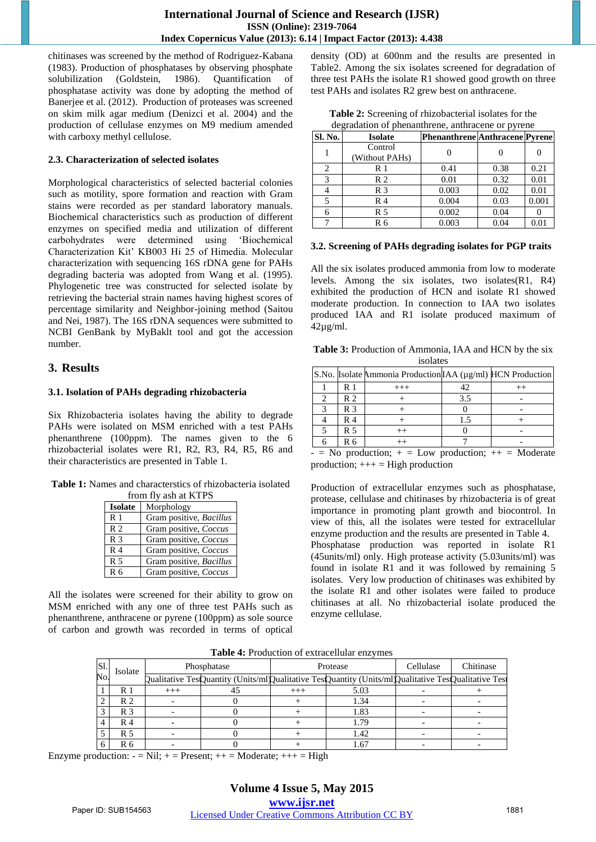chitinases was screened by the method of Rodriguez-Kabana (1983). Production of phosphatases by observing phosphate solubilization (Goldstein, 1986). Quantification of phosphatase activity was done by adopting the method of Banerjee et al. (2012). Production of proteases was screened on skim milk agar medium (Denizci et al. 2004) and the production of cellulase enzymes on M9 medium amended with carboxy methyl cellulose.

#### **2.3. Characterization of selected isolates**

Morphological characteristics of selected bacterial colonies such as motility, spore formation and reaction with Gram stains were recorded as per standard laboratory manuals. Biochemical characteristics such as production of different enzymes on specified media and utilization of different carbohydrates were determined using "Biochemical Characterization Kit" KB003 Hi 25 of Himedia. Molecular characterization with sequencing 16S rDNA gene for PAHs degrading bacteria was adopted from Wang et al. (1995). Phylogenetic tree was constructed for selected isolate by retrieving the bacterial strain names having highest scores of percentage similarity and Neighbor-joining method (Saitou and Nei, 1987). The 16S rDNA sequences were submitted to NCBI GenBank by MyBaklt tool and got the accession number.

## **3. Results**

## **3.1. Isolation of PAHs degrading rhizobacteria**

Six Rhizobacteria isolates having the ability to degrade PAHs were isolated on MSM enriched with a test PAHs phenanthrene (100ppm). The names given to the 6 rhizobacterial isolates were R1, R2, R3, R4, R5, R6 and their characteristics are presented in Table 1.

**Table 1:** Names and characterstics of rhizobacteria isolated from fly ash at KTPS

| $11$ UIII IIY asii at INII D |                         |  |  |
|------------------------------|-------------------------|--|--|
| <b>Isolate</b>               | Morphology              |  |  |
| R <sub>1</sub>               | Gram positive, Bacillus |  |  |
| R <sub>2</sub>               | Gram positive, Coccus   |  |  |
| R <sub>3</sub>               | Gram positive, Coccus   |  |  |
| R <sub>4</sub>               | Gram positive, Coccus   |  |  |
| R <sub>5</sub>               | Gram positive, Bacillus |  |  |
| R <sub>6</sub>               | Gram positive, Coccus   |  |  |

All the isolates were screened for their ability to grow on MSM enriched with any one of three test PAHs such as phenanthrene, anthracene or pyrene (100ppm) as sole source of carbon and growth was recorded in terms of optical density (OD) at 600nm and the results are presented in Table2. Among the six isolates screened for degradation of three test PAHs the isolate R1 showed good growth on three test PAHs and isolates R2 grew best on anthracene.

| <b>Table 2:</b> Screening of rhizobacterial isolates for the |
|--------------------------------------------------------------|
| degradation of phenanthrene, anthracene or pyrene            |

| Sl. No. | <b>Isolate</b>            | <b>Phenanthrene Anthracene Pyrene</b> |      |       |
|---------|---------------------------|---------------------------------------|------|-------|
|         | Control<br>(Without PAHs) |                                       |      |       |
|         | R 1                       | 0.41                                  | 0.38 | 0.21  |
| 3       | R <sub>2</sub>            | 0.01                                  | 0.32 | 0.01  |
|         | R <sub>3</sub>            | 0.003                                 | 0.02 | 0.01  |
|         | R 4                       | 0.004                                 | 0.03 | 0.001 |
|         | R 5                       | 0.002                                 | 0.04 |       |
|         | R 6                       | 0.003                                 | 0.04 | 0.01  |

## **3.2. Screening of PAHs degrading isolates for PGP traits**

All the six isolates produced ammonia from low to moderate levels. Among the six isolates, two isolates(R1, R4) exhibited the production of HCN and isolate R1 showed moderate production. In connection to IAA two isolates produced IAA and R1 isolate produced maximum of  $42\mu$ g/ml.

| Table 3: Production of Ammonia, IAA and HCN by the six |
|--------------------------------------------------------|
| isolates                                               |

| R 1<br>$^{+++}$<br>R <sub>2</sub><br>3.5<br>R <sub>3</sub><br>R 4 |  | S.No. Isolate Ammonia Production IAA (µg/ml) HCN Production |  |
|-------------------------------------------------------------------|--|-------------------------------------------------------------|--|
|                                                                   |  |                                                             |  |
|                                                                   |  |                                                             |  |
|                                                                   |  |                                                             |  |
|                                                                   |  |                                                             |  |
| R 5                                                               |  |                                                             |  |
| Rб                                                                |  |                                                             |  |

 $-$  = No production;  $+$  = Low production;  $++$  = Moderate production;  $++=$  High production

Production of extracellular enzymes such as phosphatase, protease, cellulase and chitinases by rhizobacteria is of great importance in promoting plant growth and biocontrol. In view of this, all the isolates were tested for extracellular enzyme production and the results are presented in Table 4. Phosphatase production was reported in isolate R1 (45units/ml) only. High protease activity (5.03units/ml) was found in isolate R1 and it was followed by remaining 5 isolates. Very low production of chitinases was exhibited by the isolate R1 and other isolates were failed to produce chitinases at all. No rhizobacterial isolate produced the enzyme cellulase.

**Table 4:** Production of extracellular enzymes

| Sl. | Isolate        |          | Phosphatase |          | Protease                                                                                          | Cellulase | Chitinase |
|-----|----------------|----------|-------------|----------|---------------------------------------------------------------------------------------------------|-----------|-----------|
| No. |                |          |             |          | Qualitative TesQuantity (Units/mlQualitative TesQuantity (Units/mlQualitative TesQualitative Test |           |           |
|     | R 1            | $^{+++}$ |             | $^{+++}$ | 5.03                                                                                              |           |           |
|     | R <sub>2</sub> |          |             |          | 1.34                                                                                              |           |           |
|     | R 3            |          |             |          | 1.83                                                                                              |           |           |
|     | R 4            |          |             |          | 1.79                                                                                              |           |           |
|     | R 5            |          |             |          | 1.42                                                                                              |           |           |
|     | R 6            |          |             |          | $.6^{\circ}$                                                                                      |           |           |

Enzyme production:  $-$  = Nil;  $+$  = Present;  $++$  = Moderate;  $++$  = High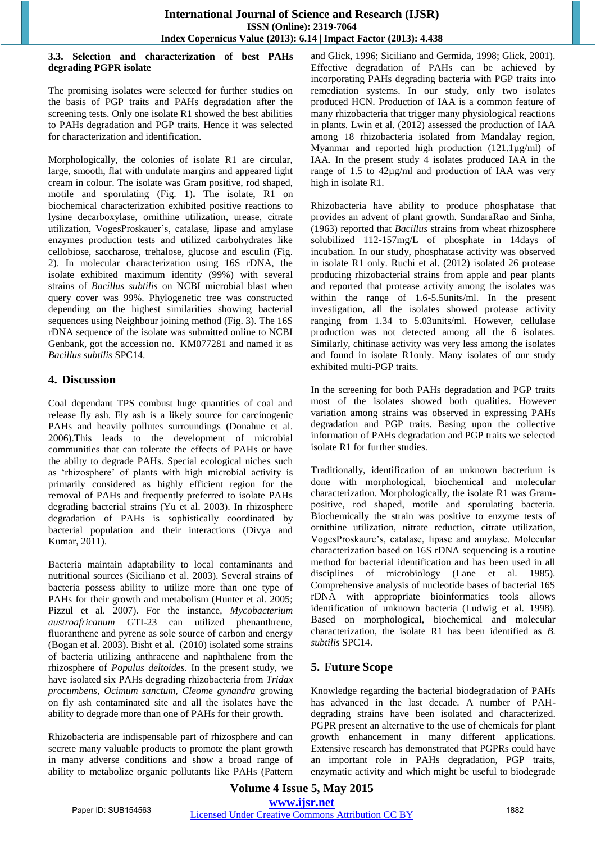#### **3.3. Selection and characterization of best PAHs degrading PGPR isolate**

The promising isolates were selected for further studies on the basis of PGP traits and PAHs degradation after the screening tests. Only one isolate R1 showed the best abilities to PAHs degradation and PGP traits. Hence it was selected for characterization and identification.

Morphologically, the colonies of isolate R1 are circular, large, smooth, flat with undulate margins and appeared light cream in colour. The isolate was Gram positive, rod shaped, motile and sporulating (Fig. 1)**.** The isolate, R1 on biochemical characterization exhibited positive reactions to lysine decarboxylase, ornithine utilization, urease, citrate utilization, VogesProskauer"s, catalase, lipase and amylase enzymes production tests and utilized carbohydrates like cellobiose, saccharose, trehalose, glucose and esculin (Fig. 2). In molecular characterization using 16S rDNA, the isolate exhibited maximum identity (99%) with several strains of *Bacillus subtilis* on NCBI microbial blast when query cover was 99%. Phylogenetic tree was constructed depending on the highest similarities showing bacterial sequences using Neighbour joining method (Fig. 3). The 16S rDNA sequence of the isolate was submitted online to NCBI Genbank, got the accession no. KM077281 and named it as *Bacillus subtilis* SPC14.

# **4. Discussion**

Coal dependant TPS combust huge quantities of coal and release fly ash. Fly ash is a likely source for carcinogenic PAHs and heavily pollutes surroundings (Donahue et al. 2006).This leads to the development of microbial communities that can tolerate the effects of PAHs or have the abilty to degrade PAHs. Special ecological niches such as "rhizosphere" of plants with high microbial activity is primarily considered as highly efficient region for the removal of PAHs and frequently preferred to isolate PAHs degrading bacterial strains (Yu et al. 2003). In rhizosphere degradation of PAHs is sophistically coordinated by bacterial population and their interactions (Divya and Kumar, 2011).

Bacteria maintain adaptability to local contaminants and nutritional sources (Siciliano et al. 2003). Several strains of bacteria possess ability to utilize more than one type of PAHs for their growth and metabolism (Hunter et al. 2005; Pizzul et al. 2007). For the instance, *Mycobacterium austroafricanum* GTI-23 can utilized phenanthrene, fluoranthene and pyrene as sole source of carbon and energy (Bogan et al. 2003). Bisht et al. (2010) isolated some strains of bacteria utilizing anthracene and naphthalene from the rhizosphere of *Populus deltoides*. In the present study, we have isolated six PAHs degrading rhizobacteria from *Tridax procumbens*, *Ocimum sanctum*, *Cleome gynandra* growing on fly ash contaminated site and all the isolates have the ability to degrade more than one of PAHs for their growth.

Rhizobacteria are indispensable part of rhizosphere and can secrete many valuable products to promote the plant growth in many adverse conditions and show a broad range of ability to metabolize organic pollutants like PAHs (Pattern and Glick, 1996; Siciliano and Germida, 1998; Glick, 2001). Effective degradation of PAHs can be achieved by incorporating PAHs degrading bacteria with PGP traits into remediation systems. In our study, only two isolates produced HCN. Production of IAA is a common feature of many rhizobacteria that trigger many physiological reactions in plants. Lwin et al. (2012) assessed the production of IAA among 18 rhizobacteria isolated from Mandalay region, Myanmar and reported high production (121.1µg/ml) of IAA. In the present study 4 isolates produced IAA in the range of 1.5 to 42µg/ml and production of IAA was very high in isolate R1.

Rhizobacteria have ability to produce phosphatase that provides an advent of plant growth. SundaraRao and Sinha, (1963) reported that *Bacillus* strains from wheat rhizosphere solubilized 112-157mg/L of phosphate in 14days of incubation. In our study, phosphatase activity was observed in isolate R1 only. Ruchi et al. (2012) isolated 26 protease producing rhizobacterial strains from apple and pear plants and reported that protease activity among the isolates was within the range of 1.6-5.5units/ml. In the present investigation, all the isolates showed protease activity ranging from 1.34 to 5.03units/ml. However, cellulase production was not detected among all the 6 isolates. Similarly, chitinase activity was very less among the isolates and found in isolate R1only. Many isolates of our study exhibited multi-PGP traits.

In the screening for both PAHs degradation and PGP traits most of the isolates showed both qualities. However variation among strains was observed in expressing PAHs degradation and PGP traits. Basing upon the collective information of PAHs degradation and PGP traits we selected isolate R1 for further studies.

Traditionally, identification of an unknown bacterium is done with morphological, biochemical and molecular characterization. Morphologically, the isolate R1 was Grampositive, rod shaped, motile and sporulating bacteria. Biochemically the strain was positive to enzyme tests of ornithine utilization, nitrate reduction, citrate utilization, VogesProskaure"s, catalase, lipase and amylase. Molecular characterization based on 16S rDNA sequencing is a routine method for bacterial identification and has been used in all disciplines of microbiology (Lane et al. 1985). Comprehensive analysis of nucleotide bases of bacterial 16S rDNA with appropriate bioinformatics tools allows identification of unknown bacteria (Ludwig et al. 1998). Based on morphological, biochemical and molecular characterization, the isolate R1 has been identified as *B. subtilis* SPC14.

# **5. Future Scope**

Knowledge regarding the bacterial biodegradation of PAHs has advanced in the last decade. A number of PAHdegrading strains have been isolated and characterized. PGPR present an alternative to the use of chemicals for plant growth enhancement in many different applications. Extensive research has demonstrated that PGPRs could have an important role in PAHs degradation, PGP traits, enzymatic activity and which might be useful to biodegrade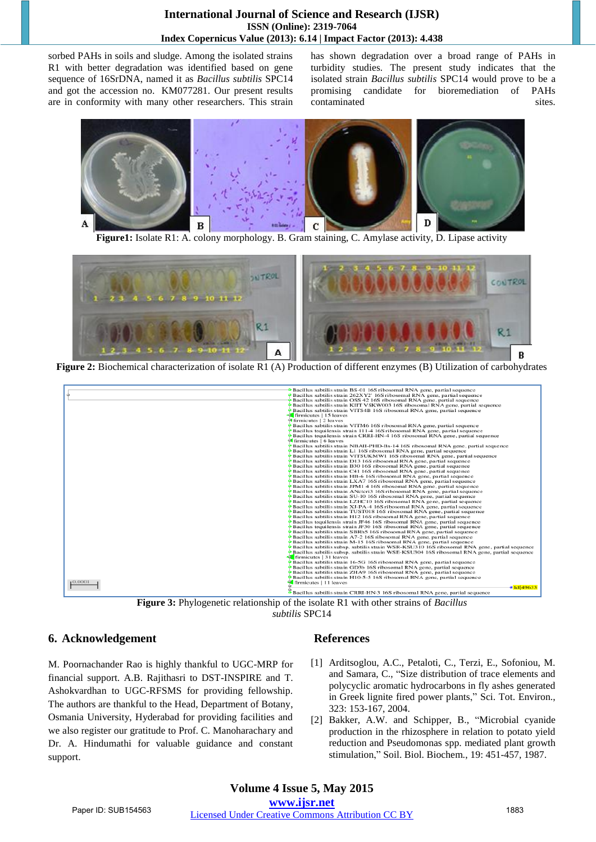## **International Journal of Science and Research (IJSR) ISSN (Online): 2319-7064 Index Copernicus Value (2013): 6.14 | Impact Factor (2013): 4.438**

sorbed PAHs in soils and sludge. Among the isolated strains R1 with better degradation was identified based on gene sequence of 16SrDNA, named it as *Bacillus subtilis* SPC14 and got the accession no. KM077281. Our present results are in conformity with many other researchers. This strain has shown degradation over a broad range of PAHs in turbidity studies. The present study indicates that the isolated strain *Bacillus subtilis* SPC14 would prove to be a promising candidate for bioremediation of PAHs contaminated sites.



**Figure1:** Isolate R1: A. colony morphology. B. Gram staining, C. Amylase activity, D. Lipase activity



**Figure 2:** Biochemical characterization of isolate R1 (A) Production of different enzymes (B) Utilization of carbohydrates

| $\frac{1}{2}$ firmicutes   2 leaves<br>firmicutes   6 leaves | Bacillus subtilis strain BS-01 16S ribosomal RNA gene, partial sequence<br>Bacillus subtilis strain 262XY2' 16S ribosomal RNA gene, partial sequence<br>Bacillus subtilis strain OSS 42 16S ribosomal RNA gene, partial sequence<br>Bacillus subtilis strain KIIT VSKW003 16S ribosomal RNA gene, partial sequence<br>Bacillus subtilis strain VITS4B 16S ribosomal RNA gene, partial sequence<br>$\frac{1}{2}$ firmicutes   15 leaves<br>Bacillus subtilis strain VITM6 16S ribosomal RNA gene, partial sequence<br>Bacillus tequilensis strain 111-4 16S ribosomal RNA gene, partial sequence<br>Bacillus tequilensis strain CRRI-HN-4 16S ribosomal RNA gene, partial sequence<br>Bacillus subtilis strain NBAII-PHD-Bs-14 16S ribosomal RNA gene, partial sequence<br>Bacillus subtilis strain L1 16S ribosomal RNA gene, partial sequence<br>Bacillus subtilis strain VITSUKMW1 16S ribosomal RNA gene, partial sequence<br>Bacillus subtilis strain D13 16S ribosomal RNA gene, partial sequence<br>Bacillus subtilis strain B30 16S ribosomal RNA gene, partial sequence<br>Bacillus subtilis strain C41 16S ribosomal RNA gene, partial sequence<br>Bacillus subtilis strain HB-6 16S ribosomal RNA gene, partial sequence<br>Bacillus subtilis strain LXA7 16S ribosomal RNA gene, partial sequence<br>Bacillus subtilis strain JPM1 4 16S ribosomal RNA gene, partial sequence<br><b>Bacillus subtilis strain ANcteri3 16S ribosomal RNA gene, partial sequence</b><br>Bacillus subtilis strain SU-10 16S ribosomal RNA gene, partial sequence<br>Bacillus subtilis strain LZHC10 16S ribosomal RNA gene, partial sequence<br><b>Bacillus subtilis strain XJ-PA-4 16S ribosomal RNA gene, partial sequence</b><br>Bacillus subtilis strain TUST018 16S ribosomal RNA gene, partial sequence<br>Bacillus subtilis strain H12 16S ribosomal RNA gene, partial sequence<br>Bacillus tequilensis strain JF46 16S ribosomal RNA gene, partial sequence<br>Bacillus tequilensis strain JF30 16S ribosomal RNA gene, partial sequence<br>Bacillus subtilis strain SBRh5 16S ribosomal RNA gene, partial sequence<br>Bacillus subtilis strain A7-2 16S ribosomal RNA gene, partial sequence<br>Bacillus subtilis strain M-15 16S ribosomal RNA gene, partial sequence<br>Bacillus subtilis subsp. subtilis strain WSR-KSU310 16S ribosomal RNA gene, partial sequence<br>Bacillus subtilis subsp. subtilis strain WSE-KSU304 16S ribosomal RNA gene, partial sequence<br>firmicutes   31 leaves<br>Bacillus subtilis strain 16-5G 16S ribosomal RNA gene, partial sequence<br>Bacillus subtilis strain GD3b 16S ribosomal RNA gene, partial sequence |
|--------------------------------------------------------------|--------------------------------------------------------------------------------------------------------------------------------------------------------------------------------------------------------------------------------------------------------------------------------------------------------------------------------------------------------------------------------------------------------------------------------------------------------------------------------------------------------------------------------------------------------------------------------------------------------------------------------------------------------------------------------------------------------------------------------------------------------------------------------------------------------------------------------------------------------------------------------------------------------------------------------------------------------------------------------------------------------------------------------------------------------------------------------------------------------------------------------------------------------------------------------------------------------------------------------------------------------------------------------------------------------------------------------------------------------------------------------------------------------------------------------------------------------------------------------------------------------------------------------------------------------------------------------------------------------------------------------------------------------------------------------------------------------------------------------------------------------------------------------------------------------------------------------------------------------------------------------------------------------------------------------------------------------------------------------------------------------------------------------------------------------------------------------------------------------------------------------------------------------------------------------------------------------------------------------------------------------------------------------------------------------------------------------------------------------------------------------------------------------------------------------------------------------------------------------------------------------------------------------------------------------------------------------------------------------------------------------------------------------|
| 10.0001                                                      | Bacillus subtilis strain ZHA9 16S ribosomal RNA gene, partial sequence<br>Bacillus subtilis strain H10-5-5 16S ribosomal RNA gene, partial sequence<br>$\frac{1}{2}$ firmicutes   11 leaves<br>$=$ Icl 49633<br>Bacillus subtilis strain CRRI-HN-3 16S ribosomal RNA gene, partial sequence                                                                                                                                                                                                                                                                                                                                                                                                                                                                                                                                                                                                                                                                                                                                                                                                                                                                                                                                                                                                                                                                                                                                                                                                                                                                                                                                                                                                                                                                                                                                                                                                                                                                                                                                                                                                                                                                                                                                                                                                                                                                                                                                                                                                                                                                                                                                                            |

**Figure 3:** Phylogenetic relationship of the isolate R1 with other strains of *Bacillus subtilis* SPC14

## **6. Acknowledgement**

M. Poornachander Rao is highly thankful to UGC-MRP for financial support. A.B. Rajithasri to DST-INSPIRE and T. Ashokvardhan to UGC-RFSMS for providing fellowship. The authors are thankful to the Head, Department of Botany, Osmania University, Hyderabad for providing facilities and we also register our gratitude to Prof. C. Manoharachary and Dr. A. Hindumathi for valuable guidance and constant support.

# **References**

- [1] Arditsoglou, A.C., Petaloti, C., Terzi, E., Sofoniou, M. and Samara, C., "Size distribution of trace elements and polycyclic aromatic hydrocarbons in fly ashes generated in Greek lignite fired power plants," Sci. Tot. Environ., 323: 153-167, 2004.
- [2] Bakker, A.W. and Schipper, B., "Microbial cyanide production in the rhizosphere in relation to potato yield reduction and Pseudomonas spp. mediated plant growth stimulation," Soil. Biol. Biochem., 19: 451-457, 1987.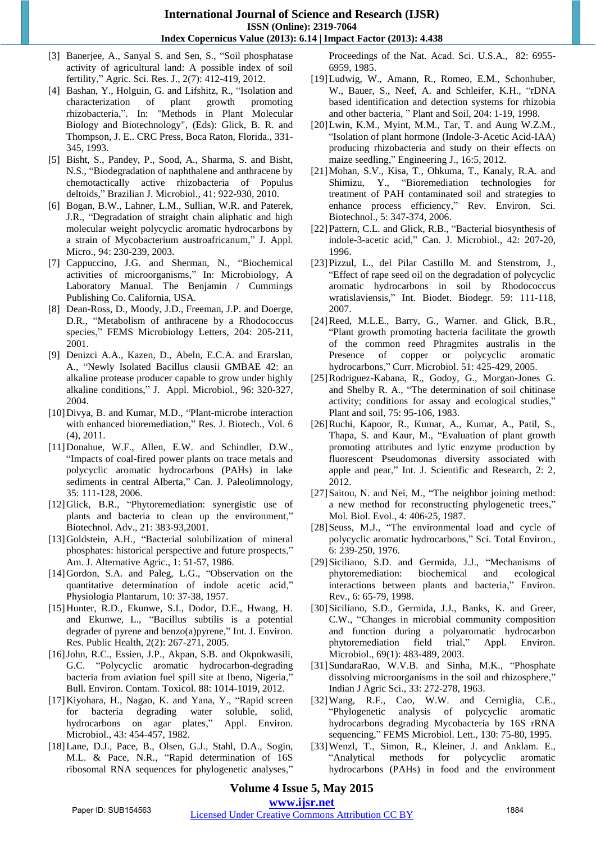- [3] Banerjee, A., Sanyal S. and Sen, S., "Soil phosphatase activity of agricultural land: A possible index of soil fertility," Agric. Sci. Res. J., 2(7): 412-419, 2012.
- [4] Bashan, Y., Holguin, G. and Lifshitz, R., "Isolation and characterization of plant growth promoting rhizobacteria,". In: "Methods in Plant Molecular Biology and Biotechnology", (Eds): Glick, B. R. and Thompson, J. E.. CRC Press, Boca Raton, Florida., 331- 345, 1993.
- [5] Bisht, S., Pandey, P., Sood, A., Sharma, S. and Bisht, N.S., "Biodegradation of naphthalene and anthracene by chemotactically active rhizobacteria of Populus deltoids," Brazilian J. Microbiol., 41: 922-930, 2010.
- [6] Bogan, B.W., Lahner, L.M., Sullian, W.R. and Paterek, J.R., "Degradation of straight chain aliphatic and high molecular weight polycyclic aromatic hydrocarbons by a strain of Mycobacterium austroafricanum," J. Appl. Micro., 94: 230-239, 2003.
- [7] Cappuccino, J.G. and Sherman, N., "Biochemical activities of microorganisms," In: Microbiology, A Laboratory Manual. The Benjamin / Cummings Publishing Co. California, USA.
- [8] Dean-Ross, D., Moody, J.D., Freeman, J.P. and Doerge, D.R., "Metabolism of anthracene by a Rhodococcus species," FEMS Microbiology Letters, 204: 205-211, 2001.
- [9] Denizci A.A., Kazen, D., Abeln, E.C.A. and Erarslan, A., "Newly Isolated Bacillus clausii GMBAE 42: an alkaline protease producer capable to grow under highly alkaline conditions," J. Appl. Microbiol., 96: 320-327, 2004.
- [10]Divya, B. and Kumar, M.D., "Plant-microbe interaction with enhanced bioremediation," Res. J. Biotech., Vol. 6 (4), 2011.
- [11]Donahue, W.F., Allen, E.W. and Schindler, D.W., "Impacts of coal-fired power plants on trace metals and polycyclic aromatic hydrocarbons (PAHs) in lake sediments in central Alberta," Can. J. Paleolimnology, 35: 111-128, 2006.
- [12]Glick, B.R., "Phytoremediation: synergistic use of plants and bacteria to clean up the environment," Biotechnol. Adv., 21: 383-93,2001.
- [13]Goldstein, A.H., "Bacterial solubilization of mineral phosphates: historical perspective and future prospects," Am. J. Alternative Agric., 1: 51-57, 1986.
- [14]Gordon, S.A. and Paleg, L.G., "Observation on the quantitative determination of indole acetic acid," Physiologia Plantarum, 10: 37-38, 1957.
- [15]Hunter, R.D., Ekunwe, S.I., Dodor, D.E., Hwang, H. and Ekunwe, L., "Bacillus subtilis is a potential degrader of pyrene and benzo(a)pyrene," Int. J. Environ. Res. Public Health, 2(2): 267-271, 2005.
- [16]John, R.C., Essien, J.P., Akpan, S.B. and Okpokwasili, G.C. "Polycyclic aromatic hydrocarbon-degrading bacteria from aviation fuel spill site at Ibeno, Nigeria," Bull. Environ. Contam. Toxicol. 88: 1014-1019, 2012.
- [17]Kiyohara, H., Nagao, K. and Yana, Y., "Rapid screen for bacteria degrading water soluble, solid, hydrocarbons on agar plates," Appl. Environ. Microbiol., 43: 454-457, 1982.
- [18]Lane, D.J., Pace, B., Olsen, G.J., Stahl, D.A., Sogin, M.L. & Pace, N.R., "Rapid determination of 16S ribosomal RNA sequences for phylogenetic analyses,"

Proceedings of the Nat. Acad. Sci. U.S.A., 82: 6955- 6959, 1985.

- [19]Ludwig, W., Amann, R., Romeo, E.M., Schonhuber, W., Bauer, S., Neef, A. and Schleifer, K.H., "rDNA based identification and detection systems for rhizobia and other bacteria, " Plant and Soil, 204: 1-19, 1998.
- [20]Lwin, K.M., Myint, M.M., Tar, T. and Aung W.Z.M., "Isolation of plant hormone (Indole-3-Acetic Acid-IAA) producing rhizobacteria and study on their effects on maize seedling," Engineering J., 16:5, 2012.
- [21]Mohan, S.V., Kisa, T., Ohkuma, T., Kanaly, R.A. and Shimizu, Y., "Bioremediation technologies for treatment of PAH contaminated soil and strategies to enhance process efficiency," Rev. Environ. Sci. Biotechnol., 5: 347-374, 2006.
- [22]Pattern, C.L. and Glick, R.B., "Bacterial biosynthesis of indole-3-acetic acid," Can. J. Microbiol., 42: 207-20, 1996.
- [23]Pizzul, L., del Pilar Castillo M. and Stenstrom, J., "Effect of rape seed oil on the degradation of polycyclic aromatic hydrocarbons in soil by Rhodococcus wratislaviensis," Int. Biodet. Biodegr. 59: 111-118, 2007.
- [24]Reed, M.L.E., Barry, G., Warner. and Glick, B.R., "Plant growth promoting bacteria facilitate the growth of the common reed Phragmites australis in the Presence of copper or polycyclic aromatic hydrocarbons," Curr. Microbiol. 51: 425-429, 2005.
- [25]Rodriguez-Kabana, R., Godoy, G., Morgan-Jones G. and Shelby R. A., "The determination of soil chitinase activity; conditions for assay and ecological studies," Plant and soil, 75: 95-106, 1983.
- [26]Ruchi, Kapoor, R., Kumar, A., Kumar, A., Patil, S., Thapa, S. and Kaur, M., "Evaluation of plant growth promoting attributes and lytic enzyme production by fluorescent Pseudomonas diversity associated with apple and pear," Int. J. Scientific and Research, 2: 2, 2012.
- [27] Saitou, N. and Nei, M., "The neighbor joining method: a new method for reconstructing phylogenetic trees," Mol. Biol. Evol., 4: 406-25, 1987.
- [28]Seuss, M.J., "The environmental load and cycle of polycyclic aromatic hydrocarbons," Sci. Total Environ., 6: 239-250, 1976.
- [29]Siciliano, S.D. and Germida, J.J., "Mechanisms of phytoremediation: biochemical and ecological interactions between plants and bacteria," Environ. Rev., 6: 65-79, 1998.
- [30] Siciliano, S.D., Germida, J.J., Banks, K. and Greer, C.W., "Changes in microbial community composition and function during a polyaromatic hydrocarbon phytoremediation field trial," Appl. Environ. Microbiol., 69(1): 483-489, 2003.
- [31]SundaraRao, W.V.B. and Sinha, M.K., "Phosphate dissolving microorganisms in the soil and rhizosphere," Indian J Agric Sci., 33: 272-278, 1963.
- [32]Wang, R.F., Cao, W.W. and Cerniglia, C.E., "Phylogenetic analysis of polycyclic aromatic hydrocarbons degrading Mycobacteria by 16S rRNA sequencing," FEMS Microbiol. Lett., 130: 75-80, 1995.
- [33]Wenzl, T., Simon, R., Kleiner, J. and Anklam. E., "Analytical methods for polycyclic aromatic hydrocarbons (PAHs) in food and the environment